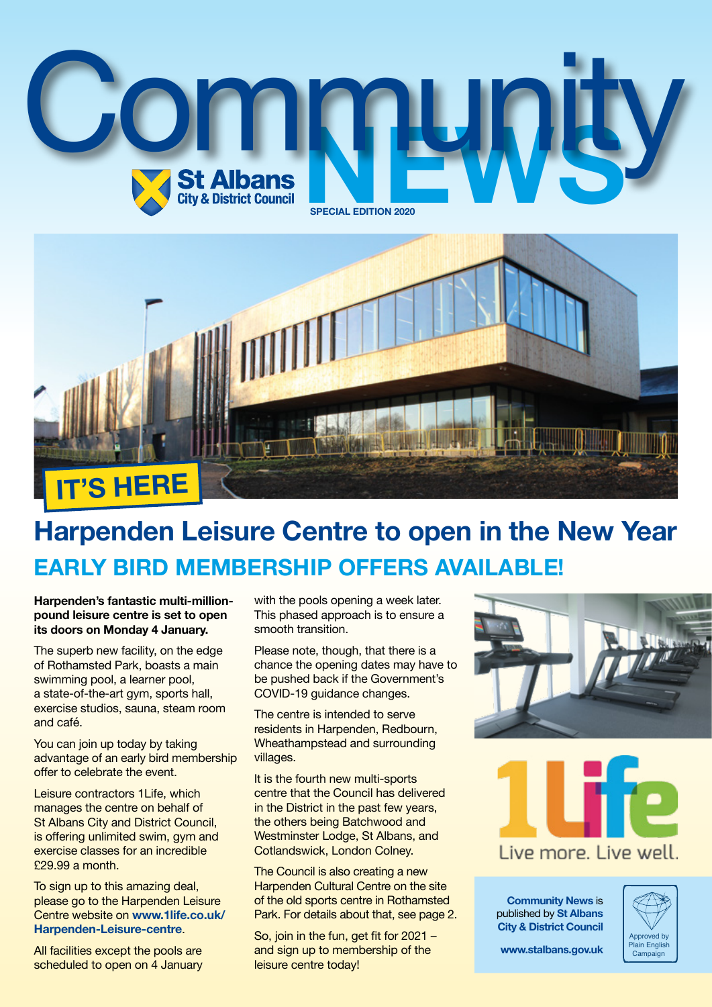



# **Harpenden Leisure Centre to open in the New Year EARLY BIRD MEMBERSHIP OFFERS AVAILABLE!**

#### **Harpenden's fantastic multi-millionpound leisure centre is set to open its doors on Monday 4 January.**

The superb new facility, on the edge of Rothamsted Park, boasts a main swimming pool, a learner pool, a state-of-the-art gym, sports hall, exercise studios, sauna, steam room and café.

You can join up today by taking advantage of an early bird membership offer to celebrate the event.

Leisure contractors 1Life, which manages the centre on behalf of St Albans City and District Council, is offering unlimited swim, gym and exercise classes for an incredible £29.99 a month.

To sign up to this amazing deal, please go to the Harpenden Leisure Centre website on **[www.1life.co.uk/](https://www.1life.co.uk/Harpenden-Leisure-centre/) [Harpenden-Leisure-centre](https://www.1life.co.uk/Harpenden-Leisure-centre/)**.

All facilities except the pools are scheduled to open on 4 January with the pools opening a week later. This phased approach is to ensure a smooth transition.

Please note, though, that there is a chance the opening dates may have to be pushed back if the Government's COVID-19 guidance changes.

The centre is intended to serve residents in Harpenden, Redbourn, Wheathampstead and surrounding villages.

It is the fourth new multi-sports centre that the Council has delivered in the District in the past few years, the others being Batchwood and Westminster Lodge, St Albans, and Cotlandswick, London Colney.

The Council is also creating a new Harpenden Cultural Centre on the site of the old sports centre in Rothamsted Park. For details about that, see page 2.

So, join in the fun, get fit for 2021 – and sign up to membership of the leisure centre today!





**Community News** is published by **St Albans City & District Council**



**[www.stalbans.gov.uk](http://www.stalbans.gov.uk/)**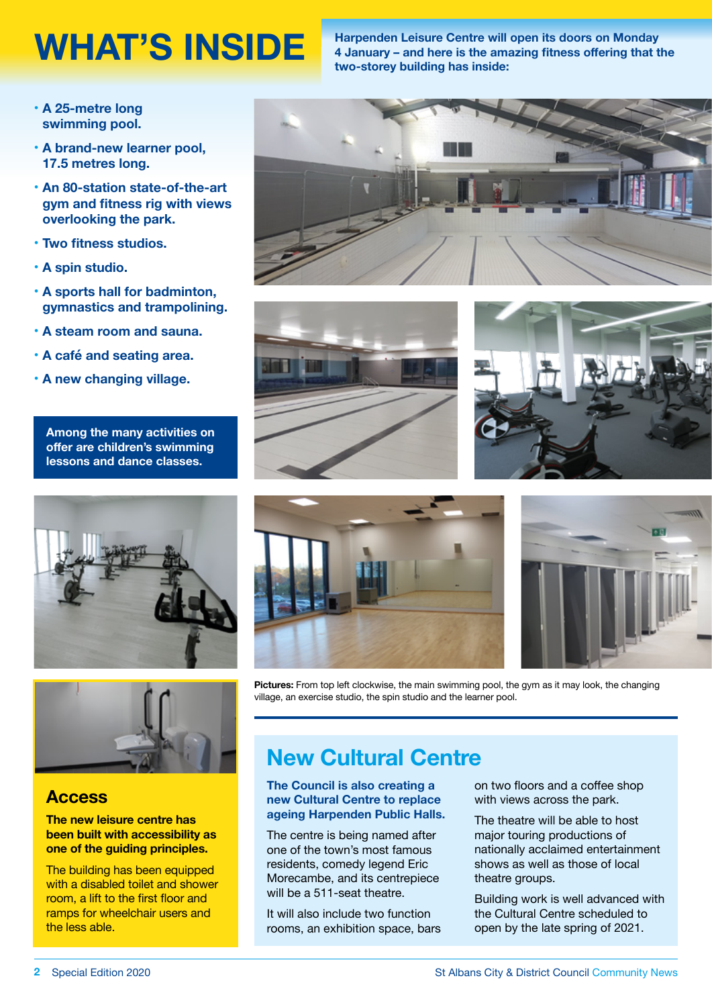WHAT'S INSIDE **Harpenden Leisure Centre will open its doors on Monday**<br>4 January – and here is the amazing fitness offering that t **4 January – and here is the amazing fitness offering that the two-storey building has inside:**

- **• A 25-metre long swimming pool.**
- **• A brand-new learner pool, 17.5 metres long.**
- **• An 80-station state-of-the-art gym and fitness rig with views overlooking the park.**
- **• Two fitness studios.**
- **• A spin studio.**
- **• A sports hall for badminton, gymnastics and trampolining.**
- **• A steam room and sauna.**
- **• A café and seating area.**
- **• A new changing village.**

**Among the many activities on offer are children's swimming lessons and dance classes.**





#### **Access**

#### **The new leisure centre has been built with accessibility as one of the guiding principles.**

The building has been equipped with a disabled toilet and shower room, a lift to the first floor and ramps for wheelchair users and the less able.









**Pictures:** From top left clockwise, the main swimming pool, the gym as it may look, the changing village, an exercise studio, the spin studio and the learner pool.

## **New Cultural Centre**

#### **The Council is also creating a new Cultural Centre to replace ageing Harpenden Public Halls.**

The centre is being named after one of the town's most famous residents, comedy legend Eric Morecambe, and its centrepiece will be a 511-seat theatre.

It will also include two function rooms, an exhibition space, bars on two floors and a coffee shop with views across the park.

The theatre will be able to host major touring productions of nationally acclaimed entertainment shows as well as those of local theatre groups.

Building work is well advanced with the Cultural Centre scheduled to open by the late spring of 2021.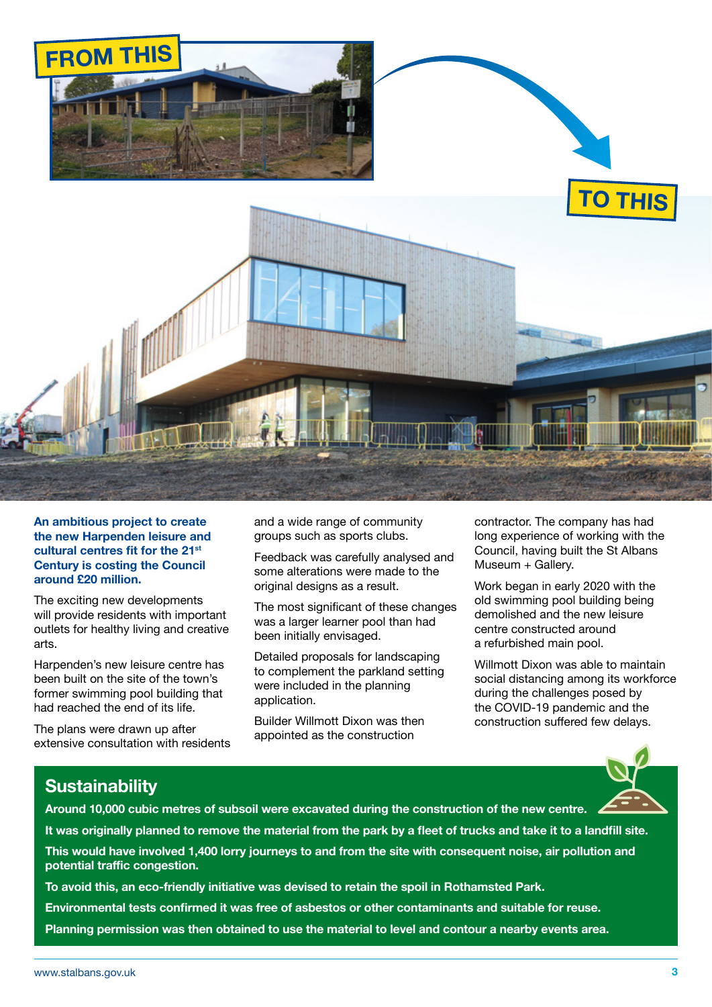

**An ambitious project to create the new Harpenden leisure and cultural centres fit for the 21st Century is costing the Council around £20 million.**

The exciting new developments will provide residents with important outlets for healthy living and creative arts.

Harpenden's new leisure centre has been built on the site of the town's former swimming pool building that had reached the end of its life.

The plans were drawn up after extensive consultation with residents and a wide range of community groups such as sports clubs.

Feedback was carefully analysed and some alterations were made to the original designs as a result.

The most significant of these changes was a larger learner pool than had been initially envisaged.

Detailed proposals for landscaping to complement the parkland setting were included in the planning application.

Builder Willmott Dixon was then appointed as the construction

contractor. The company has had long experience of working with the Council, having built the St Albans Museum + Gallery.

Work began in early 2020 with the old swimming pool building being demolished and the new leisure centre constructed around a refurbished main pool.

Willmott Dixon was able to maintain social distancing among its workforce during the challenges posed by the COVID-19 pandemic and the construction suffered few delays.

#### **Sustainability**

**Around 10,000 cubic metres of subsoil were excavated during the construction of the new centre.**

**It was originally planned to remove the material from the park by a fleet of trucks and take it to a landfill site. This would have involved 1,400 lorry journeys to and from the site with consequent noise, air pollution and potential traffic congestion.**

**To avoid this, an eco-friendly initiative was devised to retain the spoil in Rothamsted Park. Environmental tests confirmed it was free of asbestos or other contaminants and suitable for reuse. Planning permission was then obtained to use the material to level and contour a nearby events area.**